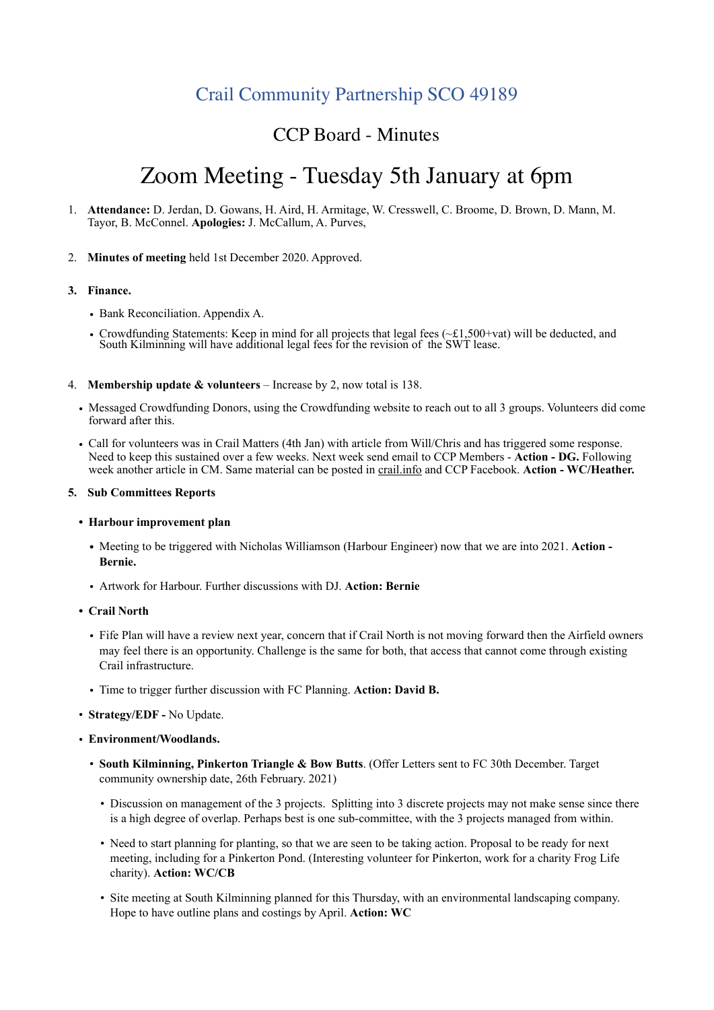# Crail Community Partnership SCO 49189

# CCP Board - Minutes

# Zoom Meeting - Tuesday 5th January at 6pm

- 1. **Attendance:** D. Jerdan, D. Gowans, H. Aird, H. Armitage, W. Cresswell, C. Broome, D. Brown, D. Mann, M. Tayor, B. McConnel. **Apologies:** J. McCallum, A. Purves,
- 2. **Minutes of meeting** held 1st December 2020. Approved.

### **3. Finance.**

- Bank Reconciliation. Appendix A.
- Crowdfunding Statements: Keep in mind for all projects that legal fees (~£1,500+vat) will be deducted, and South Kilminning will have additional legal fees for the revision of the SWT lease.
- 4. **Membership update & volunteers**  Increase by 2, now total is 138.
	- Messaged Crowdfunding Donors, using the Crowdfunding website to reach out to all 3 groups. Volunteers did come forward after this.
	- Call for volunteers was in Crail Matters (4th Jan) with article from Will/Chris and has triggered some response. Need to keep this sustained over a few weeks. Next week send email to CCP Members - **Action - DG.** Following week another article in CM. Same material can be posted in [crail.info](http://crail.info) and CCP Facebook. **Action - WC/Heather.**

#### **5. Sub Committees Reports**

- **• Harbour improvement plan** 
	- **•** Meeting to be triggered with Nicholas Williamson (Harbour Engineer) now that we are into 2021. **Action Bernie.**
	- Artwork for Harbour. Further discussions with DJ. **Action: Bernie**
- **• Crail North**
	- Fife Plan will have a review next year, concern that if Crail North is not moving forward then the Airfield owners may feel there is an opportunity. Challenge is the same for both, that access that cannot come through existing Crail infrastructure.
	- Time to trigger further discussion with FC Planning. **Action: David B.**
- **Strategy/EDF** No Update.
- **Environment/Woodlands.**
	- **South Kilminning, Pinkerton Triangle & Bow Butts**. (Offer Letters sent to FC 30th December. Target community ownership date, 26th February. 2021)
		- Discussion on management of the 3 projects. Splitting into 3 discrete projects may not make sense since there is a high degree of overlap. Perhaps best is one sub-committee, with the 3 projects managed from within.
		- Need to start planning for planting, so that we are seen to be taking action. Proposal to be ready for next meeting, including for a Pinkerton Pond. (Interesting volunteer for Pinkerton, work for a charity Frog Life charity). **Action: WC/CB**
		- Site meeting at South Kilminning planned for this Thursday, with an environmental landscaping company. Hope to have outline plans and costings by April. **Action: WC**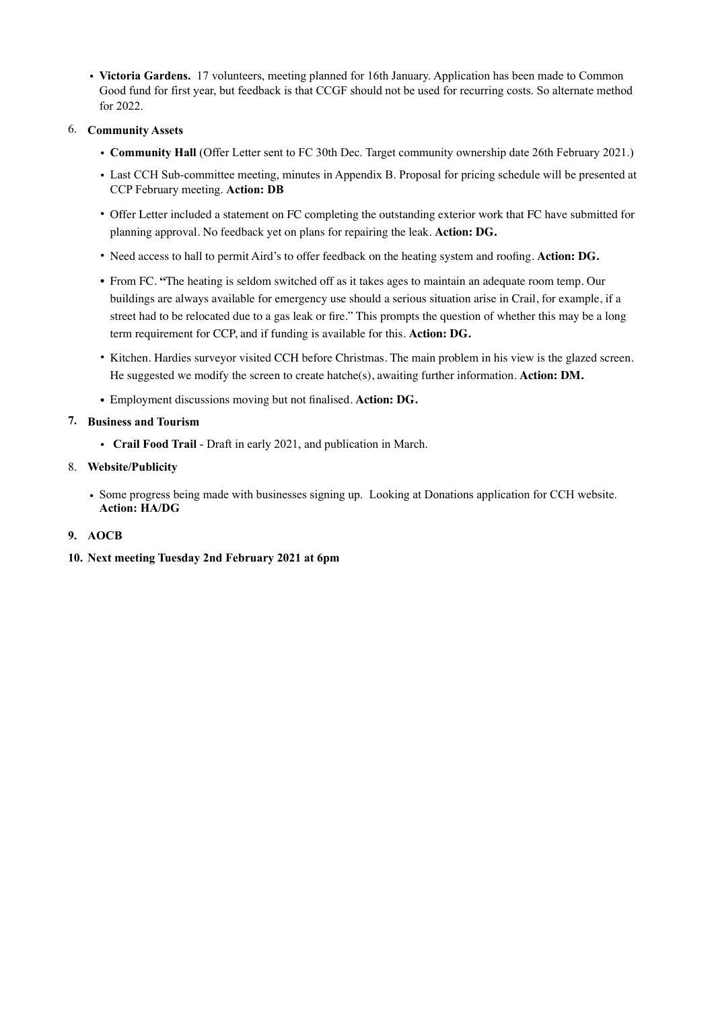• **Victoria Gardens.** 17 volunteers, meeting planned for 16th January. Application has been made to Common Good fund for first year, but feedback is that CCGF should not be used for recurring costs. So alternate method for 2022.

## 6. **Community Assets**

- **Community Hall** (Offer Letter sent to FC 30th Dec. Target community ownership date 26th February 2021.)
- Last CCH Sub-committee meeting, minutes in Appendix B. Proposal for pricing schedule will be presented at CCP February meeting. **Action: DB**
- Offer Letter included a statement on FC completing the outstanding exterior work that FC have submitted for planning approval. No feedback yet on plans for repairing the leak. **Action: DG.**
- Need access to hall to permit Aird's to offer feedback on the heating system and roofing. **Action: DG.**
- From FC. **"**The heating is seldom switched off as it takes ages to maintain an adequate room temp. Our buildings are always available for emergency use should a serious situation arise in Crail, for example, if a street had to be relocated due to a gas leak or fire." This prompts the question of whether this may be a long term requirement for CCP, and if funding is available for this. **Action: DG.**
- Kitchen. Hardies surveyor visited CCH before Christmas. The main problem in his view is the glazed screen. He suggested we modify the screen to create hatche(s), awaiting further information. **Action: DM.**
- Employment discussions moving but not finalised. **Action: DG.**

## **7. Business and Tourism**

• **Crail Food Trail** - Draft in early 2021, and publication in March.

## 8. **Website/Publicity**

• Some progress being made with businesses signing up. Looking at Donations application for CCH website. **Action: HA/DG**

## **9. AOCB**

**10. Next meeting Tuesday 2nd February 2021 at 6pm**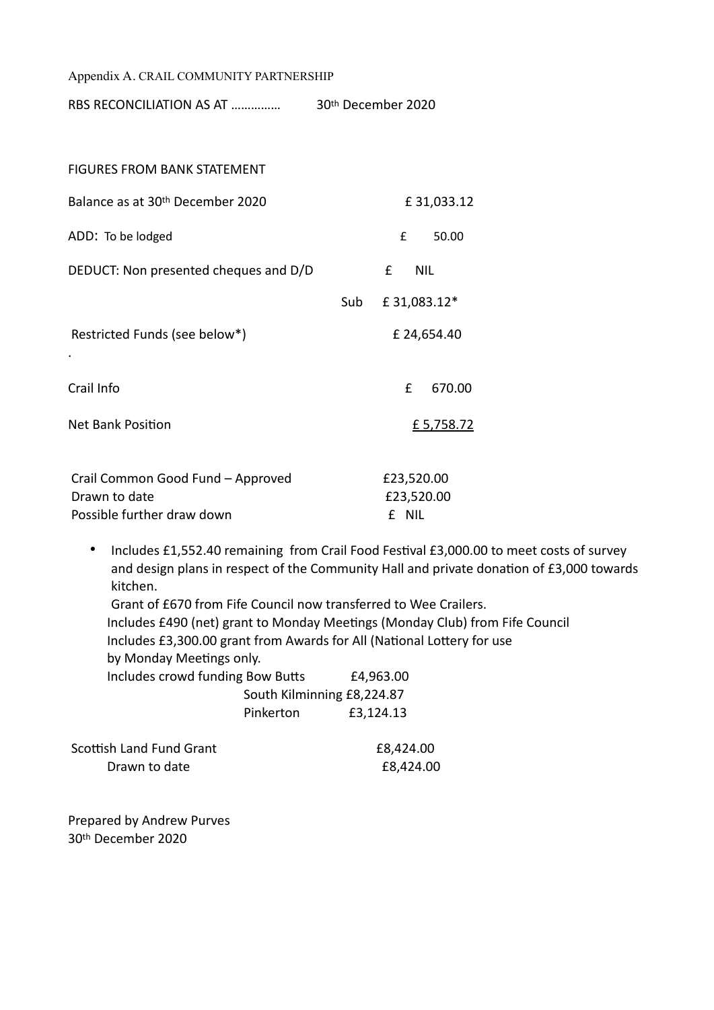Appendix A. CRAIL COMMUNITY PARTNERSHIP

RBS RECONCILIATION AS AT …………… 30th December 2020

| <b>FIGURES FROM BANK STATEMENT</b>    |     |                             |  |  |
|---------------------------------------|-----|-----------------------------|--|--|
| Balance as at 30th December 2020      |     | £31,033.12                  |  |  |
| ADD: To be lodged                     |     | $\pmb{\mathsf{f}}$<br>50.00 |  |  |
| DEDUCT: Non presented cheques and D/D |     | <b>NIL</b><br>£             |  |  |
|                                       | Sub | £31,083.12*                 |  |  |
| Restricted Funds (see below*)         |     | £ 24,654.40                 |  |  |
| ٠                                     |     |                             |  |  |
| Crail Info                            |     | £<br>670.00                 |  |  |
| <b>Net Bank Position</b>              |     | £ 5,758.72                  |  |  |
| Crail Common Good Fund - Approved     |     | £23,520.00                  |  |  |
| Drawn to date                         |     | £23,520.00                  |  |  |
| Possible further draw down            |     | £ NIL                       |  |  |

• Includes £1,552.40 remaining from Crail Food Festival £3,000.00 to meet costs of survey and design plans in respect of the Community Hall and private donation of £3,000 towards kitchen.

Grant of £670 from Fife Council now transferred to Wee Crailers. Includes £490 (net) grant to Monday Meetings (Monday Club) from Fife Council Includes £3,300.00 grant from Awards for All (National Lottery for use by Monday Meetings only. Includes crowd funding Bow Butts £4,963.00 South Kilminning £8,224.87 Pinkerton £3,124.13

| Scottish Land Fund Grant | £8,424.00 |
|--------------------------|-----------|
| Drawn to date            | £8,424.00 |

Prepared by Andrew Purves 30th December 2020